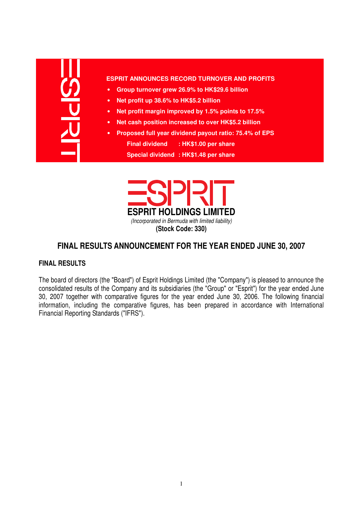#### **ESPRIT ANNOUNCES RECORD TURNOVER AND PROFITS**

- **Group turnover grew 26.9% to HK\$29.6 billion**
- **Net profit up 38.6% to HK\$5.2 billion**
- **Net profit margin improved by 1.5% points to 17.5%**
- **Net cash position increased to over HK\$5.2 billion**
- **Proposed full year dividend payout ratio: 75.4% of EPS Final dividend : HK\$1.00 per share Special dividend : HK\$1.48 per share**



# **FINAL RESULTS ANNOUNCEMENT FOR THE YEAR ENDED JUNE 30, 2007**

#### **FINAL RESULTS**

The board of directors (the "Board") of Esprit Holdings Limited (the "Company") is pleased to announce the consolidated results of the Company and its subsidiaries (the "Group" or "Esprit") for the year ended June 30, 2007 together with comparative figures for the year ended June 30, 2006. The following financial information, including the comparative figures, has been prepared in accordance with International Financial Reporting Standards ("IFRS").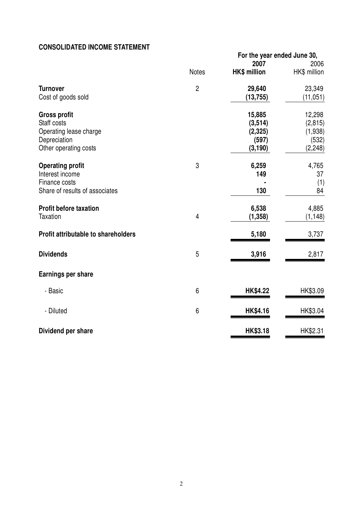# **CONSOLIDATED INCOME STATEMENT**

|                                                                                                       |                | For the year ended June 30,<br>2007                 | 2006                                               |
|-------------------------------------------------------------------------------------------------------|----------------|-----------------------------------------------------|----------------------------------------------------|
|                                                                                                       | <b>Notes</b>   | <b>HK\$ million</b>                                 | HK\$ million                                       |
| <b>Turnover</b><br>Cost of goods sold                                                                 | $\overline{2}$ | 29,640<br>(13, 755)                                 | 23,349<br>(11, 051)                                |
| <b>Gross profit</b><br>Staff costs<br>Operating lease charge<br>Depreciation<br>Other operating costs |                | 15,885<br>(3, 514)<br>(2, 325)<br>(597)<br>(3, 190) | 12,298<br>(2, 815)<br>(1,938)<br>(532)<br>(2, 248) |
| <b>Operating profit</b><br>Interest income<br>Finance costs<br>Share of results of associates         | 3              | 6,259<br>149<br>130                                 | 4,765<br>37<br>(1)<br>84                           |
| <b>Profit before taxation</b><br><b>Taxation</b>                                                      | $\overline{4}$ | 6,538<br>(1, 358)                                   | 4,885<br>(1, 148)                                  |
| Profit attributable to shareholders                                                                   |                | 5,180                                               | 3,737                                              |
| <b>Dividends</b>                                                                                      | 5              | 3,916                                               | 2,817                                              |
| <b>Earnings per share</b>                                                                             |                |                                                     |                                                    |
| - Basic                                                                                               | 6              | <b>HK\$4.22</b>                                     | HK\$3.09                                           |
| - Diluted                                                                                             | 6              | <b>HK\$4.16</b>                                     | HK\$3.04                                           |
| Dividend per share                                                                                    |                | <b>HK\$3.18</b>                                     | HK\$2.31                                           |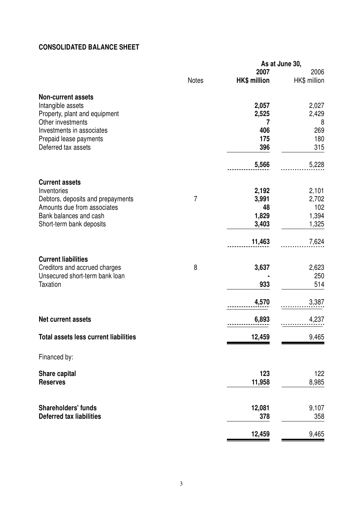# **CONSOLIDATED BALANCE SHEET**

|                                              |                |                     | As at June 30, |  |
|----------------------------------------------|----------------|---------------------|----------------|--|
|                                              |                | 2007                | 2006           |  |
|                                              | <b>Notes</b>   | <b>HK\$ million</b> | HK\$ million   |  |
| <b>Non-current assets</b>                    |                |                     |                |  |
| Intangible assets                            |                | 2,057               | 2,027          |  |
| Property, plant and equipment                |                | 2,525               | 2,429          |  |
| Other investments                            |                |                     | 8              |  |
| Investments in associates                    |                | 406                 | 269            |  |
| Prepaid lease payments                       |                | 175                 | 180            |  |
| Deferred tax assets                          |                | 396                 | 315            |  |
|                                              |                | 5,566               | 5,228          |  |
| <b>Current assets</b>                        |                |                     |                |  |
| Inventories                                  |                | 2,192               | 2,101          |  |
| Debtors, deposits and prepayments            | $\overline{7}$ | 3,991               | 2,702          |  |
| Amounts due from associates                  |                | 48                  | 102            |  |
| Bank balances and cash                       |                | 1,829               | 1,394          |  |
| Short-term bank deposits                     |                | 3,403               | 1,325          |  |
|                                              |                | 11,463              | 7,624          |  |
| <b>Current liabilities</b>                   |                |                     |                |  |
| Creditors and accrued charges                | 8              | 3,637               | 2,623          |  |
| Unsecured short-term bank loan               |                |                     | 250            |  |
| <b>Taxation</b>                              |                | 933                 | 514            |  |
|                                              |                | 4,570               | 3,387          |  |
| <b>Net current assets</b>                    |                | 6,893               | 4,237          |  |
| <b>Total assets less current liabilities</b> |                | 12,459              | 9,465          |  |
| Financed by:                                 |                |                     |                |  |
| Share capital                                |                | 123                 | 122            |  |
| <b>Reserves</b>                              |                | 11,958              | 8,985          |  |
| <b>Shareholders' funds</b>                   |                |                     |                |  |
| <b>Deferred tax liabilities</b>              |                | 12,081<br>378       | 9,107<br>358   |  |
|                                              |                | 12,459              | 9,465          |  |
|                                              |                |                     |                |  |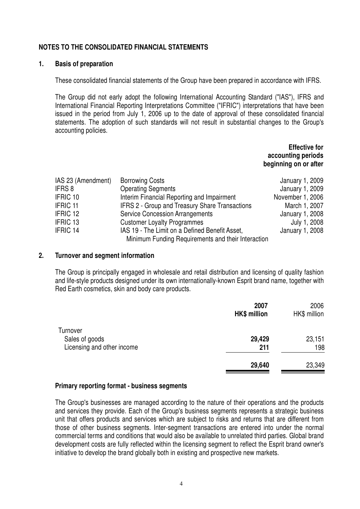## **NOTES TO THE CONSOLIDATED FINANCIAL STATEMENTS**

#### **1. Basis of preparation**

These consolidated financial statements of the Group have been prepared in accordance with IFRS.

The Group did not early adopt the following International Accounting Standard ("IAS"), IFRS and International Financial Reporting Interpretations Committee ("IFRIC") interpretations that have been issued in the period from July 1, 2006 up to the date of approval of these consolidated financial statements. The adoption of such standards will not result in substantial changes to the Group's accounting policies.

> **Effective for accounting periods beginning on or after**

| IAS 23 (Amendment) | <b>Borrowing Costs</b>                             | January 1, 2009  |
|--------------------|----------------------------------------------------|------------------|
| IFRS 8             | <b>Operating Segments</b>                          | January 1, 2009  |
| <b>IFRIC 10</b>    | Interim Financial Reporting and Impairment         | November 1, 2006 |
| <b>IFRIC 11</b>    | IFRS 2 - Group and Treasury Share Transactions     | March 1, 2007    |
| IFRIC 12           | <b>Service Concession Arrangements</b>             | January 1, 2008  |
| <b>IFRIC 13</b>    | <b>Customer Loyalty Programmes</b>                 | July 1, 2008     |
| <b>IFRIC 14</b>    | IAS 19 - The Limit on a Defined Benefit Asset,     | January 1, 2008  |
|                    | Minimum Funding Requirements and their Interaction |                  |

#### **2. Turnover and segment information**

The Group is principally engaged in wholesale and retail distribution and licensing of quality fashion and life-style products designed under its own internationally-known Esprit brand name, together with Red Earth cosmetics, skin and body care products.

|                                                          | 2007<br><b>HK\$ million</b> | 2006<br>HK\$ million |
|----------------------------------------------------------|-----------------------------|----------------------|
| Turnover<br>Sales of goods<br>Licensing and other income | 29,429<br>211               | 23,151<br>198        |
|                                                          | 29,640                      | 23,349               |

#### **Primary reporting format - business segments**

The Group's businesses are managed according to the nature of their operations and the products and services they provide. Each of the Group's business segments represents a strategic business unit that offers products and services which are subject to risks and returns that are different from those of other business segments. Inter-segment transactions are entered into under the normal commercial terms and conditions that would also be available to unrelated third parties. Global brand development costs are fully reflected within the licensing segment to reflect the Esprit brand owner's initiative to develop the brand globally both in existing and prospective new markets.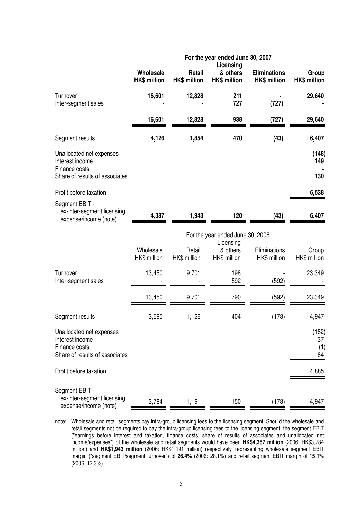|                                                                                                |                                  |                               | For the year ended June 30, 2007<br>Licensing |                                            |                              |  |  |
|------------------------------------------------------------------------------------------------|----------------------------------|-------------------------------|-----------------------------------------------|--------------------------------------------|------------------------------|--|--|
|                                                                                                | Wholesale<br><b>HK\$ million</b> | Retail<br><b>HK\$ million</b> | & others<br><b>HK\$ million</b>               | <b>Eliminations</b><br><b>HK\$ million</b> | Group<br><b>HK\$ million</b> |  |  |
| Turnover<br>Inter-segment sales                                                                | 16,601                           | 12,828                        | 211<br>727                                    | (727)                                      | 29,640                       |  |  |
|                                                                                                | 16,601                           | 12,828                        | 938                                           | (727)                                      | 29,640                       |  |  |
| Segment results                                                                                | 4,126                            | 1,854                         | 470                                           | (43)                                       | 6,407                        |  |  |
| Unallocated net expenses<br>Interest income<br>Finance costs                                   |                                  |                               |                                               |                                            | (148)<br>149                 |  |  |
| Share of results of associates                                                                 |                                  |                               |                                               |                                            | 130                          |  |  |
| Profit before taxation                                                                         |                                  |                               |                                               |                                            | 6,538                        |  |  |
| Segment EBIT -<br>ex-inter-segment licensing<br>expense/income (note)                          | 4,387                            | 1,943                         | 120                                           | (43)                                       | 6,407                        |  |  |
|                                                                                                | For the year ended June 30, 2006 |                               |                                               |                                            |                              |  |  |
|                                                                                                | Wholesale<br>HK\$ million        | Retail<br>HK\$ million        | Licensing<br>& others<br>HK\$ million         | Eliminations<br>HK\$ million               | Group<br>HK\$ million        |  |  |
| Turnover<br>Inter-segment sales                                                                | 13,450                           | 9,701                         | 198<br>592                                    | (592)                                      | 23,349                       |  |  |
|                                                                                                | 13,450                           | 9,701                         | 790                                           | (592)                                      | 23,349                       |  |  |
| Segment results                                                                                | 3,595                            | 1,126                         | 404                                           | (178)                                      | 4,947                        |  |  |
| Unallocated net expenses<br>Interest income<br>Finance costs<br>Share of results of associates |                                  |                               |                                               |                                            | (182)<br>37<br>(1)<br>84     |  |  |
| Profit before taxation                                                                         |                                  |                               |                                               |                                            | 4,885                        |  |  |
| Segment EBIT -<br>ex-inter-segment licensing<br>expense/income (note)                          | 3,784                            | 1,191                         | 150                                           | (178)                                      | 4,947                        |  |  |

note: Wholesale and retail segments pay intra-group licensing fees to the licensing segment. Should the wholesale and retail segments not be required to pay the intra-group licensing fees to the licensing segment, the segment EBIT ("earnings before interest and taxation, finance costs, share of results of associates and unallocated net income/expenses") of the wholesale and retail segments would have been **HK\$4,387 million** (2006: HK\$3,784 million) and **HK\$1,943 million** (2006: HK\$1,191 million) respectively, representing wholesale segment EBIT margin ("segment EBIT/segment turnover") of **26.4%** (2006: 28.1%) and retail segment EBIT margin of **15.1%** (2006: 12.3%).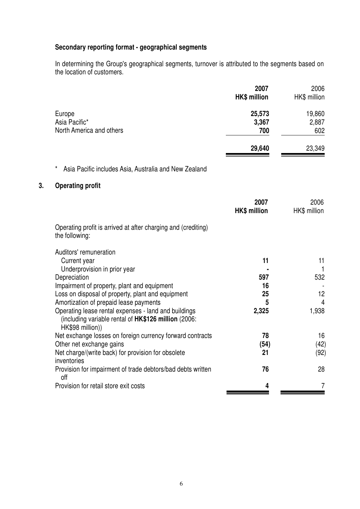# **Secondary reporting format - geographical segments**

In determining the Group's geographical segments, turnover is attributed to the segments based on the location of customers.

|                                                                                                                                                                                                                                                                                                                                                                                                                                                                                                                         | 2007<br><b>HK\$ million</b>                             | 2006<br>HK\$ million                                                             |
|-------------------------------------------------------------------------------------------------------------------------------------------------------------------------------------------------------------------------------------------------------------------------------------------------------------------------------------------------------------------------------------------------------------------------------------------------------------------------------------------------------------------------|---------------------------------------------------------|----------------------------------------------------------------------------------|
| Europe<br>Asia Pacific*<br>North America and others                                                                                                                                                                                                                                                                                                                                                                                                                                                                     | 25,573<br>3,367<br>700                                  | 19,860<br>2,887<br>602                                                           |
|                                                                                                                                                                                                                                                                                                                                                                                                                                                                                                                         | 29,640                                                  | 23,349                                                                           |
| *<br>Asia Pacific includes Asia, Australia and New Zealand                                                                                                                                                                                                                                                                                                                                                                                                                                                              |                                                         |                                                                                  |
| <b>Operating profit</b><br>3.                                                                                                                                                                                                                                                                                                                                                                                                                                                                                           |                                                         |                                                                                  |
|                                                                                                                                                                                                                                                                                                                                                                                                                                                                                                                         | 2007<br><b>HK\$ million</b>                             | 2006<br>HK\$ million                                                             |
| Operating profit is arrived at after charging and (crediting)<br>the following:                                                                                                                                                                                                                                                                                                                                                                                                                                         |                                                         |                                                                                  |
| Auditors' remuneration<br>Current year<br>Underprovision in prior year<br>Depreciation<br>Impairment of property, plant and equipment<br>Loss on disposal of property, plant and equipment<br>Amortization of prepaid lease payments<br>Operating lease rental expenses - land and buildings<br>(including variable rental of HK\$126 million (2006:<br>HK\$98 million))<br>Net exchange losses on foreign currency forward contracts<br>Other net exchange gains<br>Net charge/(write back) for provision for obsolete | 11<br>597<br>16<br>25<br>5<br>2,325<br>78<br>(54)<br>21 | 11<br>$\mathbf{1}$<br>532<br>12<br>$\overline{4}$<br>1,938<br>16<br>(42)<br>(92) |
| inventories                                                                                                                                                                                                                                                                                                                                                                                                                                                                                                             | 76                                                      | 28                                                                               |
| Provision for impairment of trade debtors/bad debts written<br>off<br>Provision for retail store exit costs                                                                                                                                                                                                                                                                                                                                                                                                             | 4                                                       | $\overline{7}$                                                                   |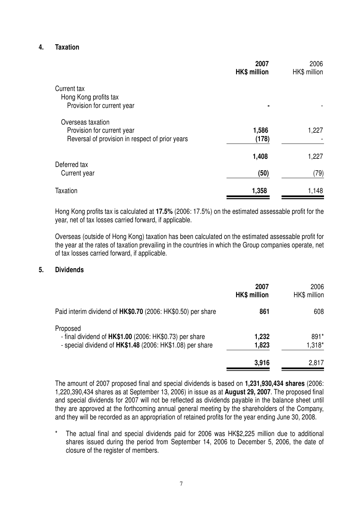## **4. Taxation**

|                                                                               | 2007<br><b>HK\$ million</b> | 2006<br>HK\$ million |
|-------------------------------------------------------------------------------|-----------------------------|----------------------|
| Current tax                                                                   |                             |                      |
| Hong Kong profits tax<br>Provision for current year                           |                             |                      |
| Overseas taxation                                                             |                             |                      |
| Provision for current year<br>Reversal of provision in respect of prior years | 1,586<br>(178)              | 1,227                |
| Deferred tax                                                                  | 1,408                       | 1,227                |
| Current year                                                                  | (50)                        | (79)                 |
| Taxation                                                                      | 1,358                       | 1,148                |

Hong Kong profits tax is calculated at **17.5%** (2006: 17.5%) on the estimated assessable profit for the year, net of tax losses carried forward, if applicable.

Overseas (outside of Hong Kong) taxation has been calculated on the estimated assessable profit for the year at the rates of taxation prevailing in the countries in which the Group companies operate, net of tax losses carried forward, if applicable.

#### **5. Dividends**

|                                                                                                                                  | 2007<br><b>HK\$ million</b> | 2006<br>HK\$ million |
|----------------------------------------------------------------------------------------------------------------------------------|-----------------------------|----------------------|
| Paid interim dividend of HK\$0.70 (2006: HK\$0.50) per share                                                                     | 861                         | 608                  |
| Proposed<br>- final dividend of HK\$1.00 (2006: HK\$0.73) per share<br>- special dividend of HK\$1.48 (2006: HK\$1.08) per share | 1,232<br>1,823              | $891*$<br>1,318*     |
|                                                                                                                                  | 3,916                       | 2,817                |

The amount of 2007 proposed final and special dividends is based on **1,231,930,434 shares** (2006: 1,220,390,434 shares as at September 13, 2006) in issue as at **August 29, 2007**. The proposed final and special dividends for 2007 will not be reflected as dividends payable in the balance sheet until they are approved at the forthcoming annual general meeting by the shareholders of the Company, and they will be recorded as an appropriation of retained profits for the year ending June 30, 2008.

\* The actual final and special dividends paid for 2006 was HK\$2,225 million due to additional shares issued during the period from September 14, 2006 to December 5, 2006, the date of closure of the register of members.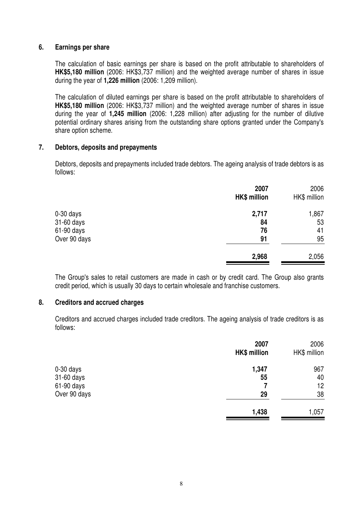#### **6. Earnings per share**

The calculation of basic earnings per share is based on the profit attributable to shareholders of **HK\$5,180 million** (2006: HK\$3,737 million) and the weighted average number of shares in issue during the year of **1,226 million** (2006: 1,209 million).

The calculation of diluted earnings per share is based on the profit attributable to shareholders of **HK\$5,180 million** (2006: HK\$3,737 million) and the weighted average number of shares in issue during the year of **1,245 million** (2006: 1,228 million) after adjusting for the number of dilutive potential ordinary shares arising from the outstanding share options granted under the Company's share option scheme.

#### **7. Debtors, deposits and prepayments**

Debtors, deposits and prepayments included trade debtors. The ageing analysis of trade debtors is as follows:

|              | 2007<br><b>HK\$ million</b> | 2006<br>HK\$ million |
|--------------|-----------------------------|----------------------|
| 0-30 days    | 2,717                       | 1,867                |
| 31-60 days   | 84                          | 53                   |
| 61-90 days   | 76                          | 41                   |
| Over 90 days | 91                          | 95                   |
|              | 2,968                       | 2,056                |

The Group's sales to retail customers are made in cash or by credit card. The Group also grants credit period, which is usually 30 days to certain wholesale and franchise customers.

#### **8. Creditors and accrued charges**

Creditors and accrued charges included trade creditors. The ageing analysis of trade creditors is as follows:

|              | 2007                | 2006         |
|--------------|---------------------|--------------|
|              | <b>HK\$ million</b> | HK\$ million |
| 0-30 days    | 1,347               | 967          |
| 31-60 days   | 55                  | 40           |
| 61-90 days   |                     | 12           |
| Over 90 days | 29                  | 38           |
|              | 1,438               | 1,057        |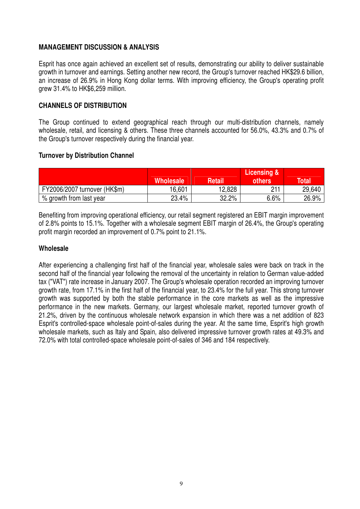## **MANAGEMENT DISCUSSION & ANALYSIS**

Esprit has once again achieved an excellent set of results, demonstrating our ability to deliver sustainable growth in turnover and earnings. Setting another new record, the Group's turnover reached HK\$29.6 billion, an increase of 26.9% in Hong Kong dollar terms. With improving efficiency, the Group's operating profit grew 31.4% to HK\$6,259 million.

## **CHANNELS OF DISTRIBUTION**

The Group continued to extend geographical reach through our multi-distribution channels, namely wholesale, retail, and licensing & others. These three channels accounted for 56.0%, 43.3% and 0.7% of the Group's turnover respectively during the financial year.

#### **Turnover by Distribution Channel**

|                              | <b>Wholesale</b> | <b>Retail</b> | Licensing &<br>others | <b>Total</b> |
|------------------------------|------------------|---------------|-----------------------|--------------|
| FY2006/2007 turnover (HK\$m) | 16,601           | 12,828        | 211                   | 29,640       |
| % growth from last year      | 23.4%            | 32.2%         | 6.6%                  | 26.9%        |

Benefiting from improving operational efficiency, our retail segment registered an EBIT margin improvement of 2.8% points to 15.1%. Together with a wholesale segment EBIT margin of 26.4%, the Group's operating profit margin recorded an improvement of 0.7% point to 21.1%.

#### **Wholesale**

After experiencing a challenging first half of the financial year, wholesale sales were back on track in the second half of the financial year following the removal of the uncertainty in relation to German value-added tax ("VAT") rate increase in January 2007. The Group's wholesale operation recorded an improving turnover growth rate, from 17.1% in the first half of the financial year, to 23.4% for the full year. This strong turnover growth was supported by both the stable performance in the core markets as well as the impressive performance in the new markets. Germany, our largest wholesale market, reported turnover growth of 21.2%, driven by the continuous wholesale network expansion in which there was a net addition of 823 Esprit's controlled-space wholesale point-of-sales during the year. At the same time, Esprit's high growth wholesale markets, such as Italy and Spain, also delivered impressive turnover growth rates at 49.3% and 72.0% with total controlled-space wholesale point-of-sales of 346 and 184 respectively.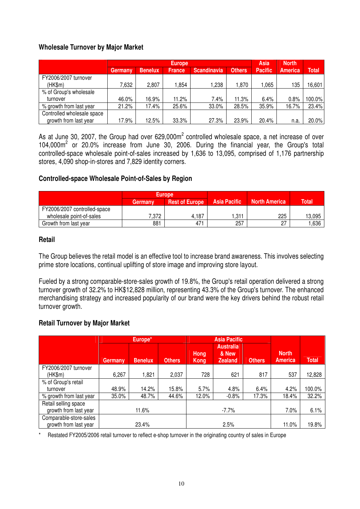## **Wholesale Turnover by Major Market**

|                            | <b>Europe</b>  |                |               | <b>Asia</b> | <b>North</b>  |                |         |              |
|----------------------------|----------------|----------------|---------------|-------------|---------------|----------------|---------|--------------|
|                            | <b>Germany</b> | <b>Benelux</b> | <b>France</b> | Scandinavia | <b>Others</b> | <b>Pacific</b> | America | <b>Total</b> |
| FY2006/2007 turnover       |                |                |               |             |               |                |         |              |
| (HK\$m)                    | 7.632          | 2,807          | .854          | 238. ا      | 1,870         | .065           | 135     | 16,601       |
| % of Group's wholesale     |                |                |               |             |               |                |         |              |
| turnover                   | 46.0%          | 16.9%          | 11.2%         | 7.4%        | 11.3%         | 6.4%           | 0.8%    | 100.0%       |
| % growth from last year    | 21.2%          | 17.4%          | 25.6%         | 33.0%       | 28.5%         | 35.9%          | 16.7%   | 23.4%        |
| Controlled wholesale space |                |                |               |             |               |                |         |              |
| growth from last year      | 17.9%          | 12.5%          | 33.3%         | 27.3%       | 23.9%         | 20.4%          | n.a     | 20.0%        |

As at June 30, 2007, the Group had over 629,000m<sup>2</sup> controlled wholesale space, a net increase of over  $104,000\,\text{m}^2$  or 20.0% increase from June 30, 2006. During the financial year, the Group's total controlled-space wholesale point-of-sales increased by 1,636 to 13,095, comprised of 1,176 partnership stores, 4,090 shop-in-stores and 7,829 identity corners.

#### **Controlled-space Wholesale Point-of-Sales by Region**

|                              |         | Europe                |                     |                      |              |
|------------------------------|---------|-----------------------|---------------------|----------------------|--------------|
|                              | Germanv | <b>Rest of Europe</b> | <b>Asia Pacific</b> | <b>North America</b> | <b>Total</b> |
| FY2006/2007 controlled-space |         |                       |                     |                      |              |
| wholesale point-of-sales     | 7.372   | 4,187                 | .311                | 225                  | 13,095       |
| Growth from last year        | 881     | 471                   | 257                 | 27                   | ,636         |

#### **Retail**

The Group believes the retail model is an effective tool to increase brand awareness. This involves selecting prime store locations, continual uplifting of store image and improving store layout.

Fueled by a strong comparable-store-sales growth of 19.8%, the Group's retail operation delivered a strong turnover growth of 32.2% to HK\$12,828 million, representing 43.3% of the Group's turnover. The enhanced merchandising strategy and increased popularity of our brand were the key drivers behind the robust retail turnover growth.

#### **Retail Turnover by Major Market**

|                         | Europe*        |                |               |                     | <b>Asia Pacific</b>                         |               |                                |              |
|-------------------------|----------------|----------------|---------------|---------------------|---------------------------------------------|---------------|--------------------------------|--------------|
|                         | <b>Germany</b> | <b>Benelux</b> | <b>Others</b> | Hong<br><b>Kong</b> | <b>Australia</b><br>& New<br><b>Zealand</b> | <b>Others</b> | <b>North</b><br><b>America</b> | <b>Total</b> |
| FY2006/2007 turnover    |                |                |               |                     |                                             |               |                                |              |
| (HK\$m)                 | 6,267          | 1,821          | 2,037         | 728                 | 621                                         | 817           | 537                            | 12,828       |
| % of Group's retail     |                |                |               |                     |                                             |               |                                |              |
| turnover                | 48.9%          | 14.2%          | 15.8%         | 5.7%                | 4.8%                                        | 6.4%          | 4.2%                           | 100.0%       |
| % growth from last year | 35.0%          | 48.7%          | 44.6%         | 12.0%               | $-0.8%$                                     | 17.3%         | 18.4%                          | 32.2%        |
| Retail selling space    |                |                |               |                     |                                             |               |                                |              |
| growth from last year   | 11.6%          |                | $-7.7\%$      |                     |                                             | 7.0%          | 6.1%                           |              |
| Comparable-store-sales  |                |                |               |                     |                                             |               |                                |              |
| growth from last year   | 23.4%          |                |               | 2.5%                |                                             |               | 11.0%                          | 19.8%        |

Restated FY2005/2006 retail turnover to reflect e-shop turnover in the originating country of sales in Europe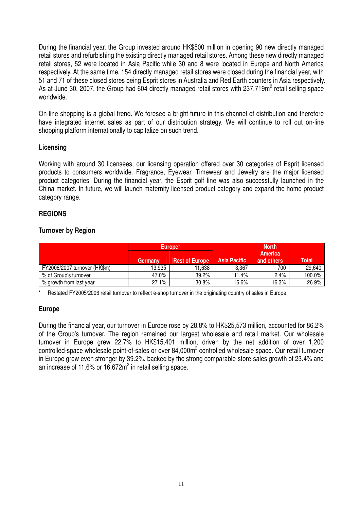During the financial year, the Group invested around HK\$500 million in opening 90 new directly managed retail stores and refurbishing the existing directly managed retail stores. Among these new directly managed retail stores, 52 were located in Asia Pacific while 30 and 8 were located in Europe and North America respectively. At the same time, 154 directly managed retail stores were closed during the financial year, with 51 and 71 of these closed stores being Esprit stores in Australia and Red Earth counters in Asia respectively. As at June 30, 2007, the Group had 604 directly managed retail stores with 237,719m<sup>2</sup> retail selling space worldwide.

On-line shopping is a global trend. We foresee a bright future in this channel of distribution and therefore have integrated internet sales as part of our distribution strategy. We will continue to roll out on-line shopping platform internationally to capitalize on such trend.

## **Licensing**

Working with around 30 licensees, our licensing operation offered over 30 categories of Esprit licensed products to consumers worldwide. Fragrance, Eyewear, Timewear and Jewelry are the major licensed product categories. During the financial year, the Esprit golf line was also successfully launched in the China market. In future, we will launch maternity licensed product category and expand the home product category range.

#### **REGIONS**

## **Turnover by Region**

|                              |         | Europe <sup>*</sup>   |                     | <b>North</b>                 |        |
|------------------------------|---------|-----------------------|---------------------|------------------------------|--------|
|                              | Germany | <b>Rest of Europe</b> | <b>Asia Pacific</b> | <b>America</b><br>and others | Total  |
| FY2006/2007 turnover (HK\$m) | 13.935  | 11.638                | 3,367               | 700                          | 29,640 |
| % of Group's turnover        | 47.0%   | 39.2%                 | 11.4%               | 2.4%                         | 100.0% |
| % growth from last year      | 27.1%   | 30.8%                 | 16.6%               | 16.3%                        | 26.9%  |

\* Restated FY2005/2006 retail turnover to reflect e-shop turnover in the originating country of sales in Europe

#### **Europe**

During the financial year, our turnover in Europe rose by 28.8% to HK\$25,573 million, accounted for 86.2% of the Group's turnover. The region remained our largest wholesale and retail market. Our wholesale turnover in Europe grew 22.7% to HK\$15,401 million, driven by the net addition of over 1,200 controlled-space wholesale point-of-sales or over 84,000m<sup>2</sup> controlled wholesale space. Our retail turnover in Europe grew even stronger by 39.2%, backed by the strong comparable-store-sales growth of 23.4% and an increase of 11.6% or 16,672 $m^2$  in retail selling space.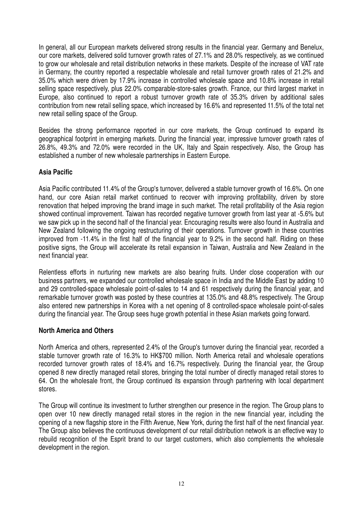In general, all our European markets delivered strong results in the financial year. Germany and Benelux, our core markets, delivered solid turnover growth rates of 27.1% and 28.0% respectively, as we continued to grow our wholesale and retail distribution networks in these markets. Despite of the increase of VAT rate in Germany, the country reported a respectable wholesale and retail turnover growth rates of 21.2% and 35.0% which were driven by 17.9% increase in controlled wholesale space and 10.8% increase in retail selling space respectively, plus 22.0% comparable-store-sales growth. France, our third largest market in Europe, also continued to report a robust turnover growth rate of 35.3% driven by additional sales contribution from new retail selling space, which increased by 16.6% and represented 11.5% of the total net new retail selling space of the Group.

Besides the strong performance reported in our core markets, the Group continued to expand its geographical footprint in emerging markets. During the financial year, impressive turnover growth rates of 26.8%, 49.3% and 72.0% were recorded in the UK, Italy and Spain respectively. Also, the Group has established a number of new wholesale partnerships in Eastern Europe.

## **Asia Pacific**

Asia Pacific contributed 11.4% of the Group's turnover, delivered a stable turnover growth of 16.6%. On one hand, our core Asian retail market continued to recover with improving profitability, driven by store renovation that helped improving the brand image in such market. The retail profitability of the Asia region showed continual improvement. Taiwan has recorded negative turnover growth from last year at -5.6% but we saw pick up in the second half of the financial year. Encouraging results were also found in Australia and New Zealand following the ongoing restructuring of their operations. Turnover growth in these countries improved from -11.4% in the first half of the financial year to 9.2% in the second half. Riding on these positive signs, the Group will accelerate its retail expansion in Taiwan, Australia and New Zealand in the next financial year.

Relentless efforts in nurturing new markets are also bearing fruits. Under close cooperation with our business partners, we expanded our controlled wholesale space in India and the Middle East by adding 10 and 29 controlled-space wholesale point-of-sales to 14 and 61 respectively during the financial year, and remarkable turnover growth was posted by these countries at 135.0% and 48.8% respectively. The Group also entered new partnerships in Korea with a net opening of 8 controlled-space wholesale point-of-sales during the financial year. The Group sees huge growth potential in these Asian markets going forward.

#### **North America and Others**

North America and others, represented 2.4% of the Group's turnover during the financial year, recorded a stable turnover growth rate of 16.3% to HK\$700 million. North America retail and wholesale operations recorded turnover growth rates of 18.4% and 16.7% respectively. During the financial year, the Group opened 8 new directly managed retail stores, bringing the total number of directly managed retail stores to 64. On the wholesale front, the Group continued its expansion through partnering with local department stores.

The Group will continue its investment to further strengthen our presence in the region. The Group plans to open over 10 new directly managed retail stores in the region in the new financial year, including the opening of a new flagship store in the Fifth Avenue, New York, during the first half of the next financial year. The Group also believes the continuous development of our retail distribution network is an effective way to rebuild recognition of the Esprit brand to our target customers, which also complements the wholesale development in the region.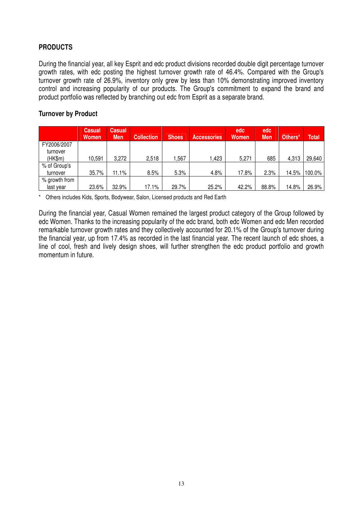# **PRODUCTS**

During the financial year, all key Esprit and edc product divisions recorded double digit percentage turnover growth rates, with edc posting the highest turnover growth rate of 46.4%. Compared with the Group's turnover growth rate of 26.9%, inventory only grew by less than 10% demonstrating improved inventory control and increasing popularity of our products. The Group's commitment to expand the brand and product portfolio was reflected by branching out edc from Esprit as a separate brand.

## **Turnover by Product**

|               | <b>Casual</b><br><b>Women</b> | <b>Casual</b><br><b>Men</b> | <b>Collection</b> | <b>Shoes</b> | <b>Accessories</b> | edc<br><b>Women</b> | edc<br><b>Men</b> | Others* | <b>Total</b> |
|---------------|-------------------------------|-----------------------------|-------------------|--------------|--------------------|---------------------|-------------------|---------|--------------|
| FY2006/2007   |                               |                             |                   |              |                    |                     |                   |         |              |
| turnover      |                               |                             |                   |              |                    |                     |                   |         |              |
| (HK\$m)       | 10.591                        | 3,272                       | 2,518             | ,567         | 1,423              | 5,271               | 685               | 4,313   | 29,640       |
| % of Group's  |                               |                             |                   |              |                    |                     |                   |         |              |
| turnover      | 35.7%                         | 11.1%                       | 8.5%              | 5.3%         | 4.8%               | 17.8%               | 2.3%              | 14.5%   | 100.0%       |
| % growth from |                               |                             |                   |              |                    |                     |                   |         |              |
| last vear     | 23.6%                         | 32.9%                       | 17.1%             | 29.7%        | 25.2%              | 42.2%               | 88.8%             | 14.8%   | 26.9%        |

\* Others includes Kids, Sports, Bodywear, Salon, Licensed products and Red Earth

During the financial year, Casual Women remained the largest product category of the Group followed by edc Women. Thanks to the increasing popularity of the edc brand, both edc Women and edc Men recorded remarkable turnover growth rates and they collectively accounted for 20.1% of the Group's turnover during the financial year, up from 17.4% as recorded in the last financial year. The recent launch of edc shoes, a line of cool, fresh and lively design shoes, will further strengthen the edc product portfolio and growth momentum in future.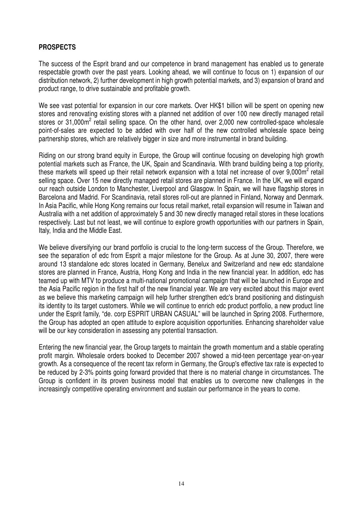## **PROSPECTS**

The success of the Esprit brand and our competence in brand management has enabled us to generate respectable growth over the past years. Looking ahead, we will continue to focus on 1) expansion of our distribution network, 2) further development in high growth potential markets, and 3) expansion of brand and product range, to drive sustainable and profitable growth.

We see vast potential for expansion in our core markets. Over HK\$1 billion will be spent on opening new stores and renovating existing stores with a planned net addition of over 100 new directly managed retail stores or 31,000m<sup>2</sup> retail selling space. On the other hand, over 2,000 new controlled-space wholesale point-of-sales are expected to be added with over half of the new controlled wholesale space being partnership stores, which are relatively bigger in size and more instrumental in brand building.

Riding on our strong brand equity in Europe, the Group will continue focusing on developing high growth potential markets such as France, the UK, Spain and Scandinavia. With brand building being a top priority, these markets will speed up their retail network expansion with a total net increase of over  $9,000\text{m}^2$  retail selling space. Over 15 new directly managed retail stores are planned in France. In the UK, we will expand our reach outside London to Manchester, Liverpool and Glasgow. In Spain, we will have flagship stores in Barcelona and Madrid. For Scandinavia, retail stores roll-out are planned in Finland, Norway and Denmark. In Asia Pacific, while Hong Kong remains our focus retail market, retail expansion will resume in Taiwan and Australia with a net addition of approximately 5 and 30 new directly managed retail stores in these locations respectively. Last but not least, we will continue to explore growth opportunities with our partners in Spain, Italy, India and the Middle East.

We believe diversifying our brand portfolio is crucial to the long-term success of the Group. Therefore, we see the separation of edc from Esprit a major milestone for the Group. As at June 30, 2007, there were around 13 standalone edc stores located in Germany, Benelux and Switzerland and new edc standalone stores are planned in France, Austria, Hong Kong and India in the new financial year. In addition, edc has teamed up with MTV to produce a multi-national promotional campaign that will be launched in Europe and the Asia Pacific region in the first half of the new financial year. We are very excited about this major event as we believe this marketing campaign will help further strengthen edc's brand positioning and distinguish its identity to its target customers. While we will continue to enrich edc product portfolio, a new product line under the Esprit family, "de. corp ESPRIT URBAN CASUAL" will be launched in Spring 2008. Furthermore, the Group has adopted an open attitude to explore acquisition opportunities. Enhancing shareholder value will be our key consideration in assessing any potential transaction.

Entering the new financial year, the Group targets to maintain the growth momentum and a stable operating profit margin. Wholesale orders booked to December 2007 showed a mid-teen percentage year-on-year growth. As a consequence of the recent tax reform in Germany, the Group's effective tax rate is expected to be reduced by 2-3% points going forward provided that there is no material change in circumstances. The Group is confident in its proven business model that enables us to overcome new challenges in the increasingly competitive operating environment and sustain our performance in the years to come.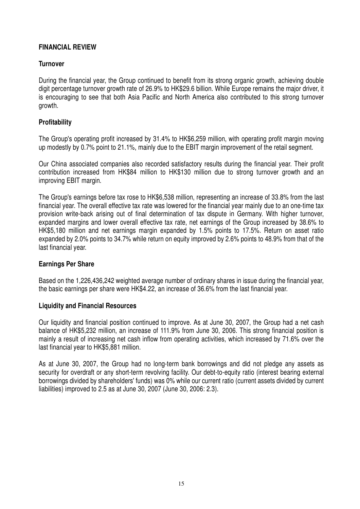## **FINANCIAL REVIEW**

## **Turnover**

During the financial year, the Group continued to benefit from its strong organic growth, achieving double digit percentage turnover growth rate of 26.9% to HK\$29.6 billion. While Europe remains the major driver, it is encouraging to see that both Asia Pacific and North America also contributed to this strong turnover growth.

## **Profitability**

The Group's operating profit increased by 31.4% to HK\$6,259 million, with operating profit margin moving up modestly by 0.7% point to 21.1%, mainly due to the EBIT margin improvement of the retail segment.

Our China associated companies also recorded satisfactory results during the financial year. Their profit contribution increased from HK\$84 million to HK\$130 million due to strong turnover growth and an improving EBIT margin.

The Group's earnings before tax rose to HK\$6,538 million, representing an increase of 33.8% from the last financial year. The overall effective tax rate was lowered for the financial year mainly due to an one-time tax provision write-back arising out of final determination of tax dispute in Germany. With higher turnover, expanded margins and lower overall effective tax rate, net earnings of the Group increased by 38.6% to HK\$5,180 million and net earnings margin expanded by 1.5% points to 17.5%. Return on asset ratio expanded by 2.0% points to 34.7% while return on equity improved by 2.6% points to 48.9% from that of the last financial year.

#### **Earnings Per Share**

Based on the 1,226,436,242 weighted average number of ordinary shares in issue during the financial year, the basic earnings per share were HK\$4.22, an increase of 36.6% from the last financial year.

#### **Liquidity and Financial Resources**

Our liquidity and financial position continued to improve. As at June 30, 2007, the Group had a net cash balance of HK\$5,232 million, an increase of 111.9% from June 30, 2006. This strong financial position is mainly a result of increasing net cash inflow from operating activities, which increased by 71.6% over the last financial year to HK\$5,881 million.

As at June 30, 2007, the Group had no long-term bank borrowings and did not pledge any assets as security for overdraft or any short-term revolving facility. Our debt-to-equity ratio (interest bearing external borrowings divided by shareholders' funds) was 0% while our current ratio (current assets divided by current liabilities) improved to 2.5 as at June 30, 2007 (June 30, 2006: 2.3).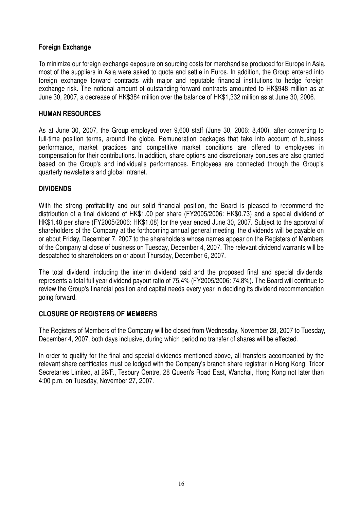## **Foreign Exchange**

To minimize our foreign exchange exposure on sourcing costs for merchandise produced for Europe in Asia, most of the suppliers in Asia were asked to quote and settle in Euros. In addition, the Group entered into foreign exchange forward contracts with major and reputable financial institutions to hedge foreign exchange risk. The notional amount of outstanding forward contracts amounted to HK\$948 million as at June 30, 2007, a decrease of HK\$384 million over the balance of HK\$1,332 million as at June 30, 2006.

## **HUMAN RESOURCES**

As at June 30, 2007, the Group employed over 9,600 staff (June 30, 2006: 8,400), after converting to full-time position terms, around the globe. Remuneration packages that take into account of business performance, market practices and competitive market conditions are offered to employees in compensation for their contributions. In addition, share options and discretionary bonuses are also granted based on the Group's and individual's performances. Employees are connected through the Group's quarterly newsletters and global intranet.

#### **DIVIDENDS**

With the strong profitability and our solid financial position, the Board is pleased to recommend the distribution of a final dividend of HK\$1.00 per share (FY2005/2006: HK\$0.73) and a special dividend of HK\$1.48 per share (FY2005/2006: HK\$1.08) for the year ended June 30, 2007. Subject to the approval of shareholders of the Company at the forthcoming annual general meeting, the dividends will be payable on or about Friday, December 7, 2007 to the shareholders whose names appear on the Registers of Members of the Company at close of business on Tuesday, December 4, 2007. The relevant dividend warrants will be despatched to shareholders on or about Thursday, December 6, 2007.

The total dividend, including the interim dividend paid and the proposed final and special dividends, represents a total full year dividend payout ratio of 75.4% (FY2005/2006: 74.8%). The Board will continue to review the Group's financial position and capital needs every year in deciding its dividend recommendation going forward.

#### **CLOSURE OF REGISTERS OF MEMBERS**

The Registers of Members of the Company will be closed from Wednesday, November 28, 2007 to Tuesday, December 4, 2007, both days inclusive, during which period no transfer of shares will be effected.

In order to qualify for the final and special dividends mentioned above, all transfers accompanied by the relevant share certificates must be lodged with the Company's branch share registrar in Hong Kong, Tricor Secretaries Limited, at 26/F., Tesbury Centre, 28 Queen's Road East, Wanchai, Hong Kong not later than 4:00 p.m. on Tuesday, November 27, 2007.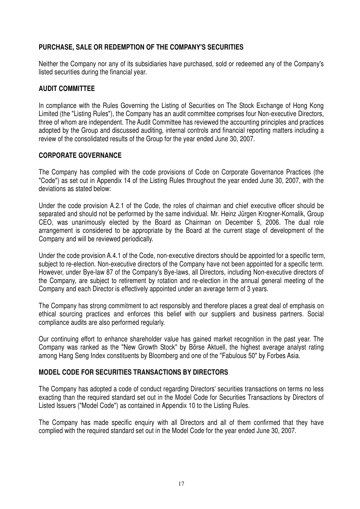## **PURCHASE, SALE OR REDEMPTION OF THE COMPANY'S SECURITIES**

Neither the Company nor any of its subsidiaries have purchased, sold or redeemed any of the Company's listed securities during the financial year.

## **AUDIT COMMITTEE**

In compliance with the Rules Governing the Listing of Securities on The Stock Exchange of Hong Kong Limited (the "Listing Rules"), the Company has an audit committee comprises four Non-executive Directors, three of whom are independent. The Audit Committee has reviewed the accounting principles and practices adopted by the Group and discussed auditing, internal controls and financial reporting matters including a review of the consolidated results of the Group for the year ended June 30, 2007.

## **CORPORATE GOVERNANCE**

The Company has complied with the code provisions of Code on Corporate Governance Practices (the "Code") as set out in Appendix 14 of the Listing Rules throughout the year ended June 30, 2007, with the deviations as stated below:

Under the code provision A.2.1 of the Code, the roles of chairman and chief executive officer should be separated and should not be performed by the same individual. Mr. Heinz Jürgen Krogner-Kornalik, Group CEO, was unanimously elected by the Board as Chairman on December 5, 2006. The dual role arrangement is considered to be appropriate by the Board at the current stage of development of the Company and will be reviewed periodically.

Under the code provision A.4.1 of the Code, non-executive directors should be appointed for a specific term, subject to re-election. Non-executive directors of the Company have not been appointed for a specific term. However, under Bye-law 87 of the Company's Bye-laws, all Directors, including Non-executive directors of the Company, are subject to retirement by rotation and re-election in the annual general meeting of the Company and each Director is effectively appointed under an average term of 3 years.

The Company has strong commitment to act responsibly and therefore places a great deal of emphasis on ethical sourcing practices and enforces this belief with our suppliers and business partners. Social compliance audits are also performed regularly.

Our continuing effort to enhance shareholder value has gained market recognition in the past year. The Company was ranked as the "New Growth Stock" by Börse Aktuell, the highest average analyst rating among Hang Seng Index constituents by Bloomberg and one of the "Fabulous 50" by Forbes Asia.

## **MODEL CODE FOR SECURITIES TRANSACTIONS BY DIRECTORS**

The Company has adopted a code of conduct regarding Directors' securities transactions on terms no less exacting than the required standard set out in the Model Code for Securities Transactions by Directors of Listed Issuers ("Model Code") as contained in Appendix 10 to the Listing Rules.

The Company has made specific enquiry with all Directors and all of them confirmed that they have complied with the required standard set out in the Model Code for the year ended June 30, 2007.